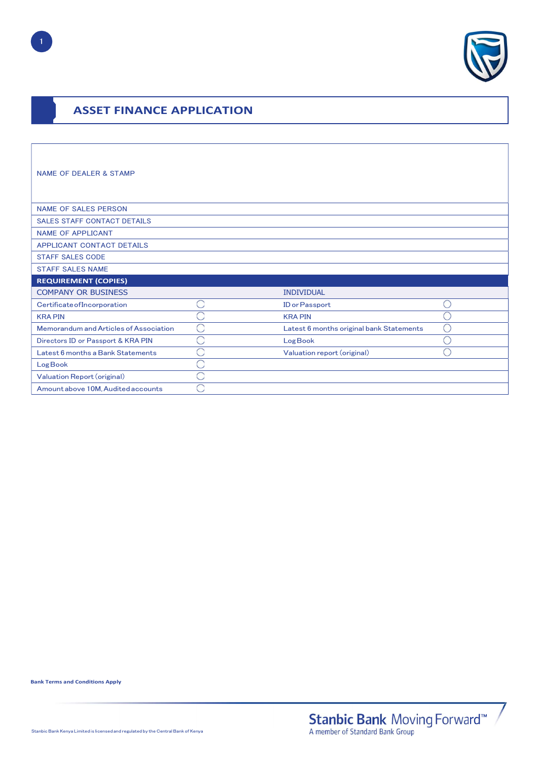

# ASSET FINANCE APPLICATION

| <b>NAME OF DEALER &amp; STAMP</b>      |           |                                          |            |
|----------------------------------------|-----------|------------------------------------------|------------|
| <b>NAME OF SALES PERSON</b>            |           |                                          |            |
| <b>SALES STAFF CONTACT DETAILS</b>     |           |                                          |            |
| <b>NAME OF APPLICANT</b>               |           |                                          |            |
| APPLICANT CONTACT DETAILS              |           |                                          |            |
| <b>STAFF SALES CODE</b>                |           |                                          |            |
| <b>STAFF SALES NAME</b>                |           |                                          |            |
| <b>REQUIREMENT (COPIES)</b>            |           |                                          |            |
| <b>COMPANY OR BUSINESS</b>             |           | <b>INDIVIDUAL</b>                        |            |
| Certificate of Incorporation           | r.        | <b>ID</b> or Passport                    |            |
| <b>KRA PIN</b>                         | ×         | <b>KRA PIN</b>                           |            |
| Memorandum and Articles of Association | $\subset$ | Latest 6 months original bank Statements | $\bigcirc$ |
| Directors ID or Passport & KRA PIN     | ×         | Log Book                                 |            |
| Latest 6 months a Bank Statements      | a         | Valuation report (original)              |            |
| Log Book                               | ç.        |                                          |            |
| Valuation Report (original)            | 3         |                                          |            |
|                                        |           |                                          |            |

Bank Terms and Conditions Apply

1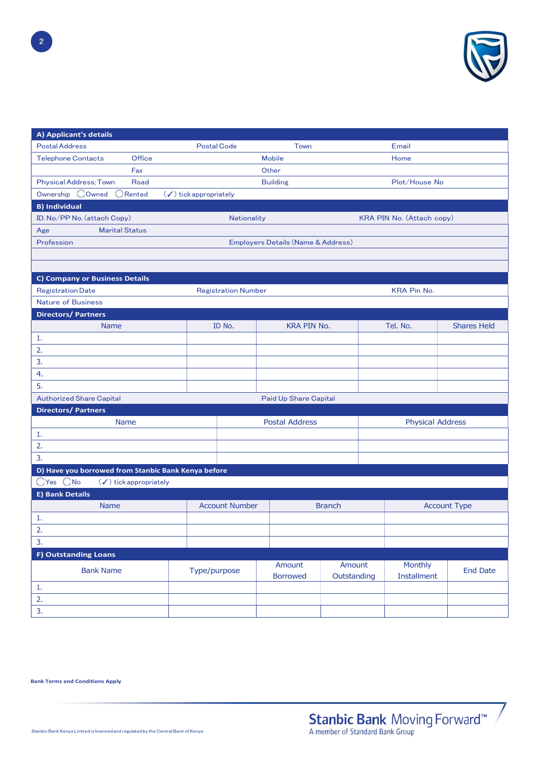

| A) Applicant's details                                 |                                                          |                                   |                            |                                    |                       |                           |                     |  |
|--------------------------------------------------------|----------------------------------------------------------|-----------------------------------|----------------------------|------------------------------------|-----------------------|---------------------------|---------------------|--|
| <b>Postal Address</b>                                  |                                                          | <b>Postal Code</b>                |                            | Town                               |                       | Email                     |                     |  |
| <b>Telephone Contacts</b>                              | Office                                                   |                                   |                            | <b>Mobile</b>                      |                       | Home                      |                     |  |
|                                                        | Fax                                                      |                                   |                            | Other                              |                       |                           |                     |  |
| <b>Physical Address; Town</b>                          | Road                                                     |                                   |                            | <b>Building</b>                    |                       |                           | Plot/House No       |  |
| Ownership OOwned ORented                               |                                                          | $(\checkmark)$ tick appropriately |                            |                                    |                       |                           |                     |  |
| <b>B) Individual</b>                                   |                                                          |                                   |                            |                                    |                       |                           |                     |  |
| ID. No/PP No. (attach Copy)                            |                                                          |                                   | Nationality                |                                    |                       | KRA PIN No. (Attach copy) |                     |  |
| <b>Marital Status</b><br>Age                           |                                                          |                                   |                            |                                    |                       |                           |                     |  |
| Profession                                             |                                                          |                                   |                            | Employers Details (Name & Address) |                       |                           |                     |  |
|                                                        |                                                          |                                   |                            |                                    |                       |                           |                     |  |
|                                                        |                                                          |                                   |                            |                                    |                       |                           |                     |  |
| <b>C) Company or Business Details</b>                  |                                                          |                                   |                            |                                    |                       |                           |                     |  |
| <b>Registration Date</b>                               |                                                          |                                   | <b>Registration Number</b> |                                    |                       | <b>KRA Pin No.</b>        |                     |  |
| <b>Nature of Business</b><br><b>Directors/Partners</b> |                                                          |                                   |                            |                                    |                       |                           |                     |  |
| <b>Name</b>                                            |                                                          |                                   | ID No.                     | <b>KRA PIN No.</b>                 |                       | Tel. No.                  | <b>Shares Held</b>  |  |
| 1.                                                     |                                                          |                                   |                            |                                    |                       |                           |                     |  |
| 2.                                                     |                                                          |                                   |                            |                                    |                       |                           |                     |  |
| 3.                                                     |                                                          |                                   |                            |                                    |                       |                           |                     |  |
| 4.                                                     |                                                          |                                   |                            |                                    |                       |                           |                     |  |
| 5.                                                     |                                                          |                                   |                            |                                    |                       |                           |                     |  |
| <b>Authorized Share Capital</b>                        |                                                          |                                   |                            | Paid Up Share Capital              |                       |                           |                     |  |
| <b>Directors/Partners</b>                              |                                                          |                                   |                            |                                    |                       |                           |                     |  |
|                                                        | <b>Postal Address</b><br><b>Physical Address</b><br>Name |                                   |                            |                                    |                       |                           |                     |  |
| 1.                                                     |                                                          |                                   |                            |                                    |                       |                           |                     |  |
| 2.                                                     |                                                          |                                   |                            |                                    |                       |                           |                     |  |
| 3.                                                     |                                                          |                                   |                            |                                    |                       |                           |                     |  |
| D) Have you borrowed from Stanbic Bank Kenya before    |                                                          |                                   |                            |                                    |                       |                           |                     |  |
| OYes ONo                                               | $(\checkmark)$ tick appropriately                        |                                   |                            |                                    |                       |                           |                     |  |
| <b>E) Bank Details</b>                                 |                                                          |                                   |                            |                                    |                       |                           |                     |  |
| <b>Name</b>                                            |                                                          |                                   | <b>Account Number</b>      |                                    | <b>Branch</b>         |                           | <b>Account Type</b> |  |
| 1.                                                     |                                                          |                                   |                            |                                    |                       |                           |                     |  |
| 2.                                                     |                                                          |                                   |                            |                                    |                       |                           |                     |  |
| 3.                                                     |                                                          |                                   |                            |                                    |                       |                           |                     |  |
| F) Outstanding Loans                                   |                                                          |                                   |                            |                                    |                       |                           |                     |  |
| <b>Bank Name</b>                                       |                                                          | Type/purpose                      |                            | Amount<br><b>Borrowed</b>          | Amount<br>Outstanding | Monthly<br>Installment    | <b>End Date</b>     |  |
| $\mathbf{1}$                                           |                                                          |                                   |                            |                                    |                       |                           |                     |  |
| 2.                                                     |                                                          |                                   |                            |                                    |                       |                           |                     |  |
| 3.                                                     |                                                          |                                   |                            |                                    |                       |                           |                     |  |

Bank Terms and Conditions Apply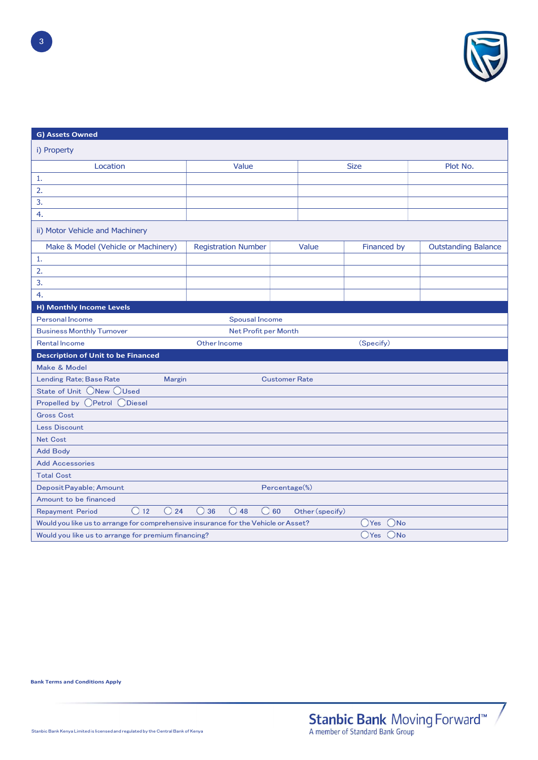

| G) Assets Owned                                                                    |                                                 |                 |             |                            |
|------------------------------------------------------------------------------------|-------------------------------------------------|-----------------|-------------|----------------------------|
| i) Property                                                                        |                                                 |                 |             |                            |
| Location                                                                           | Value                                           | <b>Size</b>     |             | Plot No.                   |
| 1.                                                                                 |                                                 |                 |             |                            |
| 2.                                                                                 |                                                 |                 |             |                            |
| 3.                                                                                 |                                                 |                 |             |                            |
| 4.                                                                                 |                                                 |                 |             |                            |
| ii) Motor Vehicle and Machinery                                                    |                                                 |                 |             |                            |
| Make & Model (Vehicle or Machinery)                                                | <b>Registration Number</b>                      | Value           | Financed by | <b>Outstanding Balance</b> |
| 1.                                                                                 |                                                 |                 |             |                            |
| 2.                                                                                 |                                                 |                 |             |                            |
| 3.                                                                                 |                                                 |                 |             |                            |
| 4.                                                                                 |                                                 |                 |             |                            |
| H) Monthly Income Levels                                                           |                                                 |                 |             |                            |
| <b>Personal Income</b>                                                             | <b>Spousal Income</b>                           |                 |             |                            |
| <b>Business Monthly Turnover</b>                                                   | Net Profit per Month                            |                 |             |                            |
| <b>Rental Income</b>                                                               | Other Income                                    |                 | (Specify)   |                            |
| <b>Description of Unit to be Financed</b>                                          |                                                 |                 |             |                            |
| Make & Model                                                                       |                                                 |                 |             |                            |
| Lending Rate; Base Rate<br>Margin                                                  | <b>Customer Rate</b>                            |                 |             |                            |
| State of Unit ONew OUsed                                                           |                                                 |                 |             |                            |
| Propelled by OPetrol ODiesel                                                       |                                                 |                 |             |                            |
| <b>Gross Cost</b>                                                                  |                                                 |                 |             |                            |
| <b>Less Discount</b>                                                               |                                                 |                 |             |                            |
| <b>Net Cost</b>                                                                    |                                                 |                 |             |                            |
| <b>Add Body</b>                                                                    |                                                 |                 |             |                            |
| <b>Add Accessories</b>                                                             |                                                 |                 |             |                            |
| <b>Total Cost</b>                                                                  |                                                 |                 |             |                            |
| Deposit Payable; Amount                                                            | Percentage(%)                                   |                 |             |                            |
| Amount to be financed                                                              |                                                 |                 |             |                            |
| O24<br>O <sub>12</sub><br><b>Repayment Period</b>                                  | $\bigcirc$ 36<br>$\bigcirc$ 48<br>$\bigcirc$ 60 | Other (specify) |             |                            |
| Would you like us to arrange for comprehensive insurance for the Vehicle or Asset? |                                                 |                 | OYes ONo    |                            |
| Would you like us to arrange for premium financing?                                |                                                 |                 | OYes ONo    |                            |

Bank Terms and Conditions Apply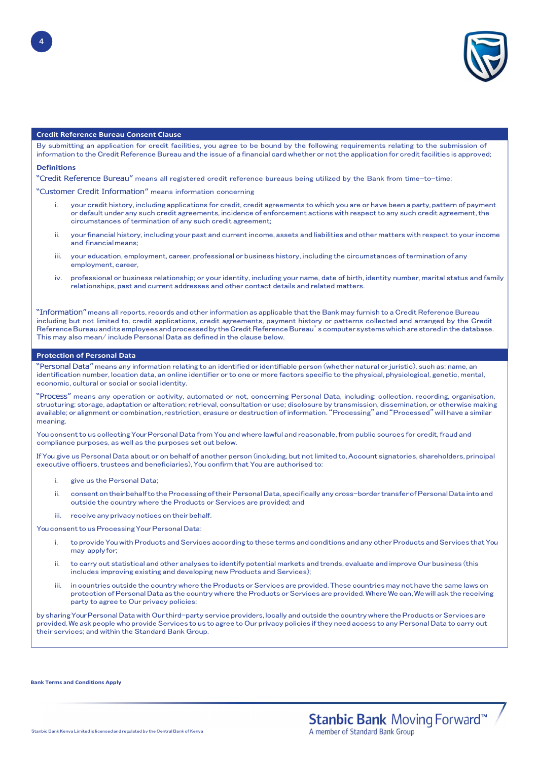

# Credit Reference Bureau Consent Clause

By submitting an application for credit facilities, you agree to be bound by the following requirements relating to the submission of information to the Credit Reference Bureau and the issue of a financial card whether or not the application for credit facilities is approved;

#### Definitions

"Credit Reference Bureau" means all registered credit reference bureaus being utilized by the Bank from time-to-time;

"Customer Credit Information" means information concerning

- your credit history, including applications for credit, credit agreements to which you are or have been a party, pattern of payment or default under any such credit agreements, incidence of enforcement actions with respect to any such credit agreement, the circumstances of termination of any such credit agreement;
- ii. your financial history, including your past and current income, assets and liabilities and other matters with respect to your income and financial means;
- iii. your education, employment, career, professional or business history, including the circumstances of termination of any employment, career,
- iv. professional or business relationship; or your identity, including your name, date of birth, identity number, marital status and family relationships, past and current addresses and other contact details and related matters.

"Information" means all reports, records and other information as applicable that the Bank may furnish to a Credit Reference Bureau including but not limited to, credit applications, credit agreements, payment history or patterns collected and arranged by the Credit Reference Bureau and its employees and processed by the Credit Reference Bureau's computer systems which are stored in the database. This may also mean/ include Personal Data as defined in the clause below.

#### Protection of Personal Data

"Personal Data" means any information relating to an identified or identifiable person (whether natural or juristic), such as: name, an identification number, location data, an online identifier or to one or more factors specific to the physical, physiological, genetic, mental, economic, cultural or social or social identity.

"Process" means any operation or activity, automated or not, concerning Personal Data, including: collection, recording, organisation, structuring; storage, adaptation or alteration; retrieval, consultation or use; disclosure by transmission, dissemination, or otherwise making available; or alignment or combination, restriction, erasure or destruction of information. "Processing" and "Processed" will have a similar meaning.

You consent to us collecting Your Personal Data from You and where lawful and reasonable, from public sources for credit, fraud and compliance purposes, as well as the purposes set out below.

If You give us Personal Data about or on behalf of another person (including, but not limited to, Account signatories, shareholders, principal executive officers, trustees and beneficiaries), You confirm that You are authorised to:

- give us the Personal Data;
- ii. consent on their behalf to the Processing of their Personal Data, specifically any cross-border transfer of Personal Data into and outside the country where the Products or Services are provided; and
- iii. receive any privacy notices on their behalf.

You consent to us Processing Your Personal Data:

- i. to provide You with Products and Services according to these terms and conditions and any other Products and Services that You may apply for:
- ii. to carry out statistical and other analyses to identify potential markets and trends, evaluate and improve Our business (this includes improving existing and developing new Products and Services);
- iii. in countries outside the country where the Products or Services are provided. These countries may not have the same laws on protection of Personal Data as the country where the Products or Services are provided. Where We can, We will ask the receiving party to agree to Our privacy policies;

by sharing Your Personal Data with Our third-party service providers, locally and outside the country where the Products or Services are provided. We ask people who provide Services to us to agree to Our privacy policies if they need access to any Personal Data to carry out their services; and within the Standard Bank Group.

Bank Terms and Conditions Apply

4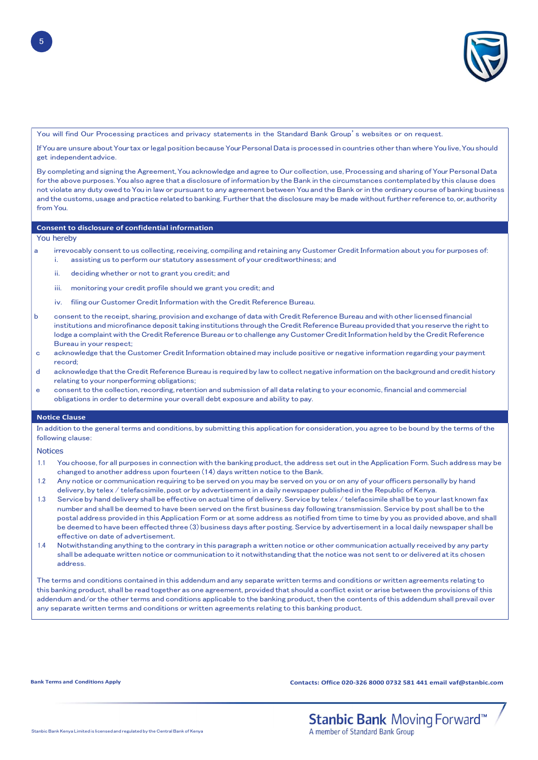

You will find Our Processing practices and privacy statements in the Standard Bank Group's websites or on request.

If You are unsure about Your tax or legal position because Your Personal Data is processed in countries other than where You live, You should get independent advice.

By completing and signing the Agreement, You acknowledge and agree to Our collection, use, Processing and sharing of Your Personal Data for the above purposes. You also agree that a disclosure of information by the Bank in the circumstances contemplated by this clause does not violate any duty owed to You in law or pursuant to any agreement between You and the Bank or in the ordinary course of banking business and the customs, usage and practice related to banking. Further that the disclosure may be made without further reference to, or, authority from You.

#### Consent to disclosure of confidential information

You hereby

- a irrevocably consent to us collecting, receiving, compiling and retaining any Customer Credit Information about you for purposes of: i. assisting us to perform our statutory assessment of your creditworthiness; and
	- ii. deciding whether or not to grant you credit; and
	- iii. monitoring your credit profile should we grant you credit; and
	- iv. filing our Customer Credit Information with the Credit Reference Bureau.
- b consent to the receipt, sharing, provision and exchange of data with Credit Reference Bureau and with other licensed financial institutions and microfinance deposit taking institutions through the Credit Reference Bureau provided that you reserve the right to lodge a complaint with the Credit Reference Bureau or to challenge any Customer Credit Information held by the Credit Reference Bureau in your respect;
- c acknowledge that the Customer Credit Information obtained may include positive or negative information regarding your payment record;
- d acknowledge that the Credit Reference Bureau is required by law to collect negative information on the background and credit history relating to your nonperforming obligations;
- e consent to the collection, recording, retention and submission of all data relating to your economic, financial and commercial obligations in order to determine your overall debt exposure and ability to pay.

#### Notice Clause

In addition to the general terms and conditions, by submitting this application for consideration, you agree to be bound by the terms of the following clause:

**Notices** 

- 1.1 You choose, for all purposes in connection with the banking product, the address set out in the Application Form. Such address may be changed to another address upon fourteen (14) days written notice to the Bank.
- 1.2 Any notice or communication requiring to be served on you may be served on you or on any of your officers personally by hand delivery, by telex / telefacsimile, post or by advertisement in a daily newspaper published in the Republic of Kenya.
- 1.3 Service by hand delivery shall be effective on actual time of delivery. Service by telex / telefacsimile shall be to your last known fax number and shall be deemed to have been served on the first business day following transmission. Service by post shall be to the postal address provided in this Application Form or at some address as notified from time to time by you as provided above, and shall be deemed to have been effected three (3) business days after posting. Service by advertisement in a local daily newspaper shall be effective on date of advertisement.
- 1.4 Notwithstanding anything to the contrary in this paragraph a written notice or other communication actually received by any party shall be adequate written notice or communication to it notwithstanding that the notice was not sent to or delivered at its chosen address.

The terms and conditions contained in this addendum and any separate written terms and conditions or written agreements relating to this banking product, shall be read together as one agreement, provided that should a conflict exist or arise between the provisions of this addendum and/or the other terms and conditions applicable to the banking product, then the contents of this addendum shall prevail over any separate written terms and conditions or written agreements relating to this banking product.

Bank Terms and Conditions Apply Contacts: Office 020-326 8000 0732 581 441 email vaf@stanbic.com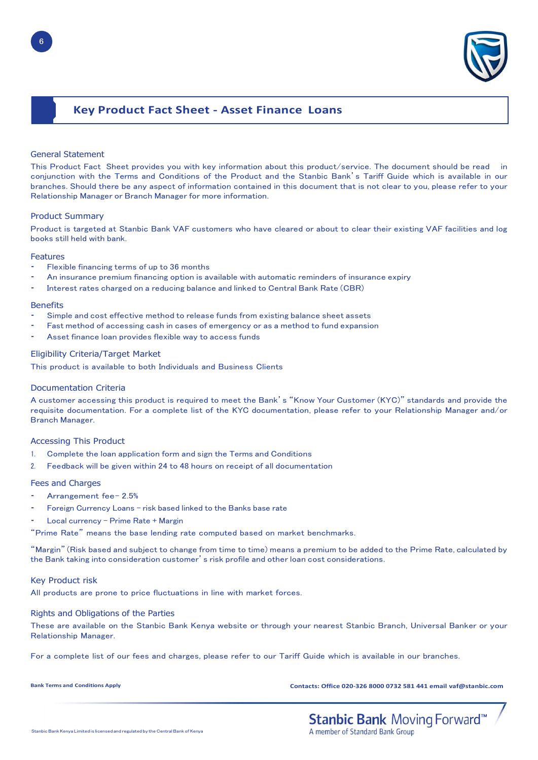

# Key Product Fact Sheet - Asset Finance Loans

# General Statement

This Product Fact Sheet provides you with key information about this product/service. The document should be read in conjunction with the Terms and Conditions of the Product and the Stanbic Bank's Tariff Guide which is available in our branches. Should there be any aspect of information contained in this document that is not clear to you, please refer to your Relationship Manager or Branch Manager for more information.

# Product Summary

Product is targeted at Stanbic Bank VAF customers who have cleared or about to clear their existing VAF facilities and log books still held with bank.

### Features

- Flexible financing terms of up to 36 months
- An insurance premium financing option is available with automatic reminders of insurance expiry
- Interest rates charged on a reducing balance and linked to Central Bank Rate (CBR)

### **Benefits**

- Simple and cost effective method to release funds from existing balance sheet assets
- Fast method of accessing cash in cases of emergency or as a method to fund expansion
- Asset finance loan provides flexible way to access funds

# Eligibility Criteria/Target Market

This product is available to both Individuals and Business Clients

# Documentation Criteria

A customer accessing this product is required to meet the Bank's "Know Your Customer (KYC)" standards and provide the requisite documentation. For a complete list of the KYC documentation, please refer to your Relationship Manager and/or Branch Manager.

# Accessing This Product

- 1. Complete the loan application form and sign the Terms and Conditions
- 2. Feedback will be given within 24 to 48 hours on receipt of all documentation

# Fees and Charges

- Arrangement fee-2.5%
- Foreign Currency Loans risk based linked to the Banks base rate
- Local currency Prime Rate + Margin
- "Prime Rate" means the base lending rate computed based on market benchmarks.

"Margin" (Risk based and subject to change from time to time) means a premium to be added to the Prime Rate, calculated by the Bank taking into consideration customer's risk profile and other loan cost considerations.

# Key Product risk

All products are prone to price fluctuations in line with market forces.

# Rights and Obligations of the Parties

These are available on the Stanbic Bank Kenya website or through your nearest Stanbic Branch, Universal Banker or your Relationship Manager.

For a complete list of our fees and charges, please refer to our Tariff Guide which is available in our branches.

Bank Terms and Conditions Apply Contacts: Office 020-326 8000 0732 581 441 email vaf@stanbic.com